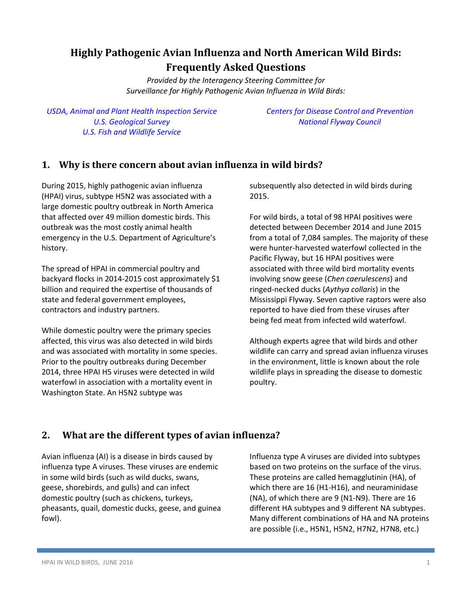# **Highly Pathogenic Avian Influenza and North American Wild Birds: Frequently Asked Questions**

*Provided by the Interagency Steering Committee for Surveillance for Highly Pathogenic Avian Influenza in Wild Birds:*

*USDA, Animal and Plant Health [Inspection](https://www.aphis.usda.gov/aphis/home) Service U.S. [Geological](https://www.usgs.gov/) Survey U.S. Fish and [Wildlife](https://www.fws.gov/) Service*

*[Centers for Disease Control and Prevention](http://www.cdc.gov/) [National](http://flyways.us/) Flyway Council*

### **1. Why is there concern about avian influenza in wild birds?**

During 2015, highly pathogenic avian influenza (HPAI) virus, subtype H5N2 was associated with a large domestic poultry outbreak in North America that affected over 49 million domestic birds. This outbreak was the most costly animal health emergency in the U.S. Department of Agriculture's history.

The spread of HPAI in commercial poultry and backyard flocks in 2014-2015 cost approximately \$1 billion and required the expertise of thousands of state and federal government employees, contractors and industry partners.

While domestic poultry were the primary species affected, this virus was also detected in wild birds and was associated with mortality in some species. Prior to the poultry outbreaks during December 2014, three HPAI H5 viruses were detected in wild waterfowl in association with a mortality event in Washington State. An H5N2 subtype was

subsequently also detected in wild birds during 2015.

For wild birds, a total of 98 HPAI positives were detected between December 2014 and June 2015 from a total of 7,084 samples. The majority of these were hunter-harvested waterfowl collected in the Pacific Flyway, but 16 HPAI positives were associated with three wild bird mortality events involving snow geese (*Chen caerulescens*) and ringed-necked ducks (*Aythya collaris*) in the Mississippi Flyway. Seven captive raptors were also reported to have died from these viruses after being fed meat from infected wild waterfowl.

Although experts agree that wild birds and other wildlife can carry and spread avian influenza viruses in the environment, little is known about the role wildlife plays in spreading the disease to domestic poultry.

# **2. What are the different types of avian influenza?**

Avian influenza (AI) is a disease in birds caused by influenza type A viruses. These viruses are endemic in some wild birds (such as wild ducks, swans, geese, shorebirds, and gulls) and can infect domestic poultry (such as chickens, turkeys, pheasants, quail, domestic ducks, geese, and guinea fowl).

Influenza type A viruses are divided into subtypes based on two proteins on the surface of the virus. These proteins are called hemagglutinin (HA), of which there are 16 (H1-H16), and neuraminidase (NA), of which there are 9 (N1-N9). There are 16 different HA subtypes and 9 different NA subtypes. Many different combinations of HA and NA proteins are possible (i.e., H5N1, H5N2, H7N2, H7N8, etc.)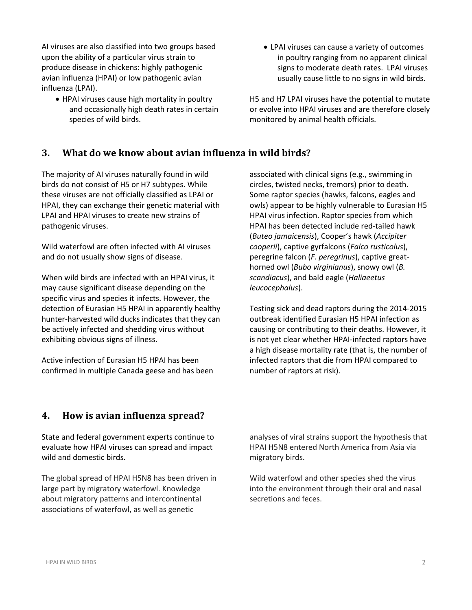AI viruses are also classified into two groups based upon the ability of a particular virus strain to produce disease in chickens: highly pathogenic avian influenza (HPAI) or low pathogenic avian influenza (LPAI).

- HPAI viruses cause high mortality in poultry and occasionally high death rates in certain species of wild birds.
- LPAI viruses can cause a variety of outcomes in poultry ranging from no apparent clinical signs to moderate death rates. LPAI viruses usually cause little to no signs in wild birds.

H5 and H7 LPAI viruses have the potential to mutate or evolve into HPAI viruses and are therefore closely monitored by animal health officials.

#### **3. What do we know about avian influenza in wild birds?**

The majority of AI viruses naturally found in wild birds do not consist of H5 or H7 subtypes. While these viruses are not officially classified as LPAI or HPAI, they can exchange their genetic material with LPAI and HPAI viruses to create new strains of pathogenic viruses.

Wild waterfowl are often infected with AI viruses and do not usually show signs of disease.

When wild birds are infected with an HPAI virus, it may cause significant disease depending on the specific virus and species it infects. However, the detection of Eurasian H5 HPAI in apparently healthy hunter-harvested wild ducks indicates that they can be actively infected and shedding virus without exhibiting obvious signs of illness.

Active infection of Eurasian H5 HPAI has been confirmed in multiple Canada geese and has been associated with clinical signs (e.g., swimming in circles, twisted necks, tremors) prior to death. Some raptor species (hawks, falcons, eagles and owls) appear to be highly vulnerable to Eurasian H5 HPAI virus infection. Raptor species from which HPAI has been detected include red-tailed hawk (*Buteo jamaicensis*), Cooper's hawk (*Accipiter cooperii*), captive gyrfalcons (*Falco rusticolus*), peregrine falcon (*F. peregrinus*), captive greathorned owl (*Bubo virginianus*), snowy owl (*B. scandiacus*), and bald eagle (*Haliaeetus leucocephalus*).

Testing sick and dead raptors during the 2014-2015 outbreak identified Eurasian H5 HPAI infection as causing or contributing to their deaths. However, it is not yet clear whether HPAI-infected raptors have a high disease mortality rate (that is, the number of infected raptors that die from HPAI compared to number of raptors at risk).

#### **4. How is avian influenza spread?**

State and federal government experts continue to evaluate how HPAI viruses can spread and impact wild and domestic birds.

The global spread of HPAI H5N8 has been driven in large part by migratory waterfowl. Knowledge about migratory patterns and intercontinental associations of waterfowl, as well as genetic

analyses of viral strains support the hypothesis that HPAI H5N8 entered North America from Asia via migratory birds.

Wild waterfowl and other species shed the virus into the environment through their oral and nasal secretions and feces.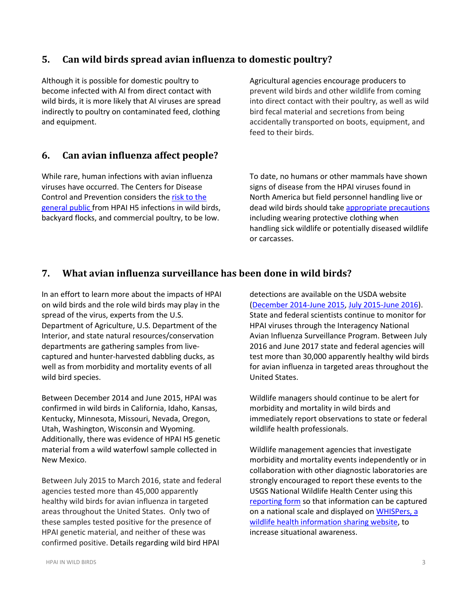### **5. Can wild birds spread avian influenza to domestic poultry?**

Although it is possible for domestic poultry to become infected with AI from direct contact with wild birds, it is more likely that AI viruses are spread indirectly to poultry on contaminated feed, clothing and equipment.

### **6. Can avian influenza affect people?**

While rare, human infections with avian influenza viruses have occurred. The Centers for Disease Control and Prevention considers the risk [to the](http://www.cdc.gov/flu/avianflu/avian-in-humans.htm)  [general public f](http://www.cdc.gov/flu/avianflu/avian-in-humans.htm)rom HPAI H5 infections in wild birds, backyard flocks, and commercial poultry, to be low.

Agricultural agencies encourage producers to prevent wild birds and other wildlife from coming into direct contact with their poultry, as well as wild bird fecal material and secretions from being accidentally transported on boots, equipment, and feed to their birds.

To date, no humans or other mammals have shown signs of disease from the HPAI viruses found in North America but field personnel handling live or dead wild birds should take [appropriate](http://www.nwhc.usgs.gov/publications/wildlife_health_bulletins/WHB_2015-05_HPAI_Natl_surveillance_rev.pdf) precautions including wearing protective clothing when handling sick wildlife or potentially diseased wildlife or carcasses.

### **7. What avian influenza surveillance has been done in wild birds?**

In an effort to learn more about the impacts of HPAI on wild birds and the role wild birds may play in the spread of the virus, experts from the U.S. Department of Agriculture, U.S. Department of the Interior, and state natural resources/conservation departments are gathering samples from livecaptured and hunter-harvested dabbling ducks, as well as from morbidity and mortality events of all wild bird species.

Between December 2014 and June 2015, HPAI was confirmed in wild birds in California, Idaho, Kansas, Kentucky, Minnesota, Missouri, Nevada, Oregon, Utah, Washington, Wisconsin and Wyoming. Additionally, there was evidence of HPAI H5 genetic material from a wild waterfowl sample collected in New Mexico.

Between July 2015 to March 2016, state and federal agencies tested more than 45,000 apparently healthy wild birds for avian influenza in targeted areas throughout the United States. Only two of these samples tested positive for the presence of HPAI genetic material, and neither of these was confirmed positive. Details regarding wild bird HPAI

detections are available on the USDA website [\(December](https://www.aphis.usda.gov/wildlife_damage/downloads/DEC%202014%20-%20JUNE%202015%20WILD%20BIRD%20POSITIVE%20HIGHLY%20PATHOGENIC%20AVIAN%20INFLUENZA%20CASES%20IN%20THE%20UNITED%20STATES.pdf) 2014-June 2015, July [2015-June](https://www.aphis.usda.gov/animal_health/downloads/animal_diseases/ai/uspositivecases.pdf) 2016). State and federal scientists continue to monitor for HPAI viruses through the Interagency National Avian Influenza Surveillance Program. Between July 2016 and June 2017 state and federal agencies will test more than 30,000 apparently healthy wild birds for avian influenza in targeted areas throughout the United States.

Wildlife managers should continue to be alert for morbidity and mortality in wild birds and immediately report observations to state or federal wildlife health professionals.

Wildlife management agencies that investigate morbidity and mortality events independently or in collaboration with other diagnostic laboratories are strongly encouraged to report these events to the USGS National Wildlife Health Center using this [reporting](http://www.nwhc.usgs.gov/services/Wildlife_Mortality_Reporting_and_Diagnostic_Services_Request_Form_120415_saveable.pdf) form so that information can be captured on a national scale and displayed on [WHISPers,](http://www.nwhc.usgs.gov/whispers/) a wildlife health [information](http://www.nwhc.usgs.gov/whispers/) sharing website, to increase situational awareness.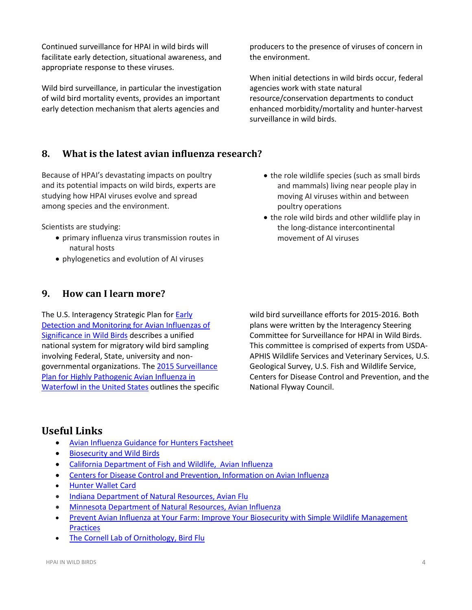Continued surveillance for HPAI in wild birds will facilitate early detection, situational awareness, and appropriate response to these viruses.

Wild bird surveillance, in particular the investigation of wild bird mortality events, provides an important early detection mechanism that alerts agencies and

producers to the presence of viruses of concern in the environment.

When initial detections in wild birds occur, federal agencies work with state natural resource/conservation departments to conduct enhanced morbidity/mortality and hunter-harvest surveillance in wild birds.

• the role wildlife species (such as small birds and mammals) living near people play in moving AI viruses within and between

• the role wild birds and other wildlife play in the long-distance intercontinental

poultry operations

movement of AI viruses

### **8. What is the latest avian influenza research?**

Because of HPAI's devastating impacts on poultry and its potential impacts on wild birds, experts are studying how HPAI viruses evolve and spread among species and the environment.

Scientists are studying:

- primary influenza virus transmission routes in natural hosts
- phylogenetics and evolution of AI viruses

### **9. How can I learn more?**

The U.S. Interagency Strategic Plan for [Early](http://www.aphis.usda.gov/animal_health/downloads/animal_diseases/ai/wild-bird-strategic-plan.pdf) Detection and [Monitoring](http://www.aphis.usda.gov/animal_health/downloads/animal_diseases/ai/wild-bird-strategic-plan.pdf) for Avian Influenzas of [Significance](http://www.aphis.usda.gov/animal_health/downloads/animal_diseases/ai/wild-bird-strategic-plan.pdf) in Wild Birds describes a unified national system for migratory wild bird sampling involving Federal, State, university and nongovernmental organizations. The 2015 [Surveillance](http://www.aphis.usda.gov/animal_health/downloads/animal_diseases/ai/2015-hpai-surveillance-plan.pdf) Plan for Highly [Pathogenic](http://www.aphis.usda.gov/animal_health/downloads/animal_diseases/ai/2015-hpai-surveillance-plan.pdf) Avian Influenza in [Waterfowl](http://www.aphis.usda.gov/animal_health/downloads/animal_diseases/ai/2015-hpai-surveillance-plan.pdf) in the United States outlines the specific wild bird surveillance efforts for 2015-2016*.* Both plans were written by the Interagency Steering Committee for Surveillance for HPAI in Wild Birds. This committee is comprised of experts from USDA-APHIS Wildlife Services and Veterinary Services, U.S. Geological Survey, U.S. Fish and Wildlife Service, Centers for Disease Control and Prevention, and the National Flyway Council.

# **Useful Links**

- Avian Influenza Guidance for Hunters [Factsheet](https://www.aphis.usda.gov/publications/animal_health/2015/fsc_hpai_hunters.pdf)
- [Biosecurity](https://www.aphis.usda.gov/aphis/ourfocus/animalhealth/animal-disease-information/avian-influenza-disease/birdbiosecurity/ct_bfb_wild_birds) and Wild Birds
- California Department of Fish and [Wildlife, Avian](http://www.dfg.ca.gov/wildlife/wil/disease/avianflu/) Influenza
- Centers for Disease Control and Prevention, [Information](http://www.cdc.gov/flu/avianflu/) on Avian Influenza
- **•** [Hunter](https://www.aphis.usda.gov/animal_health/birdbiosecurity/downloads/USDA_HntrCd_Hi.pdf) Wallet Card
- Indiana [Department](http://www.in.gov/dnr/fishwild/8513.htm) of Natural Resources, Avian Flu
- Minnesota [Department](http://www.dnr.state.mn.us/avianinfluenza/index.html) of Natural Resources, Avian Influenza
- Prevent Avian Influenza at Your Farm: Improve Your Biosecurity with Simple Wildlife [Management](https://www.aphis.usda.gov/publications/animal_health/2015/fs_hpai_wildlife_mgmt_practices.pdf) **[Practices](https://www.aphis.usda.gov/publications/animal_health/2015/fs_hpai_wildlife_mgmt_practices.pdf)**
- The Cornell Lab of [Ornithology,](http://www.birds.cornell.edu/birdflu/impact-on-birds/impact-on-wild-birds) Bird Flu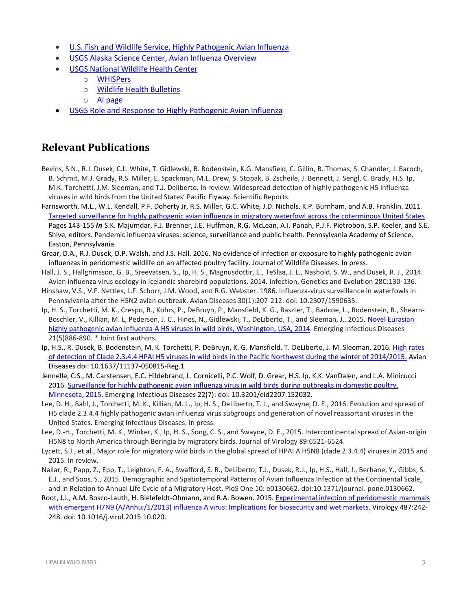- U.S. Fish and Wildlife Service, Highly [Pathogenic](http://www.fws.gov/home/avianflu/) Avian Influenza
- USGS Alaska Science Center, Avian Influenza [Overview](http://alaska.usgs.gov/science/biology/avian_influenza/index.php)
- USGS [National](http://www.nwhc.usgs.gov/) Wildlife Health Center
	- o [WHISPers](https://www.nwhc.usgs.gov/whispers/)
	- o Wildlife Health [Bulletins](http://www.nwhc.usgs.gov/publications/wildlife_health_bulletins/index.jsp)
	- o AI [page](http://www.nwhc.usgs.gov/disease_information/avian_influenza/)
- USGS Role and Response to Highly [Pathogenic](http://pubs.usgs.gov/fs/2015/3059/pdf/fs20153059.pdf) Avian Influenza

# **Relevant Publications**

- Bevins, S.N., R.J. Dusek, C.L. White, T. Gidlewski, B. Bodenstein, K.G. Mansfield, C. Gillin, B. Thomas, S. Chandler, J. Baroch, B. Schmit, M.J. Grady, R.S. Miller, E. Spackman, M.L. Drew, S. Stopak, B. Zscheile, J. Bennett, J. Sengl, C. Brady, H.S. Ip, M.K. Torchetti, J.M. Sleeman, and T.J. Deliberto. In review. Widespread detection of highly pathogenic H5 influenza viruses in wild birds from the United States' Pacific Flyway. Scientific Reports.
- Farnsworth, M.L., W.L. Kendall, P.F. Doherty Jr, R.S. Miller, G.C. White, J.D. Nichols, K.P. Burnham, and A.B. Franklin. 2011. [Targeted surveillance for highly pathogenic avian influenza in migratory waterfowl across the coterminous United States.](https://www.sciencebase.gov/catalog/item/5180e7eee4b0df838b924dbf) Pages 143-155 *in* S.K. Majumdar, F.J. Brenner, J.E. Huffman, R.G. McLean, A.I. Panah, P.J.F. Pietrobon, S.P. Keeler, and S.E. Shive, editors. Pandemic influenza viruses: science, surveillance and public health. Pennsylvania Academy of Science, Easton, Pennsylvania.
- Grear, D.A., R.J. Dusek, D.P. Walsh, and J.S. Hall. 2016. No evidence of infection or exposure to highly pathogenic avian influenzas in peridomestic wildlife on an affected poultry facility. Journal of Wildlife Diseases. In press.
- Hall, J. S., Hallgrimsson, G. B., Sreevatsen, S., Ip, H. S., Magnusdottir, E., TeSlaa, J. L., Nashold, S. W., and Dusek, R. J., 2014. Avian influenza virus ecology in Icelandic shorebird populations. 2014. Infection, Genetics and Evolution 28C:130-136.
- Hinshaw, V.S., V.F. Nettles, L.F. Schorr, J.M. Wood, and R.G. Webster. 1986. Influenza-virus surveillance in waterfowls in Pennsylvania after the H5N2 avian outbreak. Avian Diseases 30(1):207-212. doi: 10.2307/1590635.
- Ip, H. S., Torchetti, M. K., Crespo, R., Kohrs, P., DeBruyn, P., Mansfield, K. G., Baszler, T., Badcoe, L., Bodenstein, B., Shearn-Boschler, V., Killian, M. L, Pedersen, J. C., Hines, N., Gidlewski, T., DeLiberto, T., and Sleeman, J., 2015. [Novel Eurasian](https://www.aphis.usda.gov/wildlife_damage/nwrc/publications/15pubs/15-069%20gidlewski.pdf)  [highly pathogenic avian influenza A H5 viruses in wild birds, Washington, USA,](https://www.aphis.usda.gov/wildlife_damage/nwrc/publications/15pubs/15-069%20gidlewski.pdf) 2014. Emerging Infectious Diseases 21(5)886-890. \* Joint first authors.
- Ip, H.S., R. Dusek, B. Bodenstein, M. K. Torchetti, P. DeBruyn, K. G. Mansfield, T. DeLiberto, J. M. Sleeman. 2016[. High rates](https://pubs.er.usgs.gov/publication/70170089)  [of detection of Clade 2.3.4.4 HPAI H5 viruses in wild birds in the Pacific Northwest during the winter of 2014/2015.](https://pubs.er.usgs.gov/publication/70170089) Avian Diseases doi: 10.1637/11137-050815-Reg.1
- Jennelle, C.S., M. Carstensen, E.C. Hildebrand, L. Cornicelli, P.C. Wolf, D. Grear, H.S. Ip, K.K. VanDalen, and L.A. Minicucci 2016. Surveillance for highly pathogenic avian influenza virus in wild birds during outbreaks in domestic poultry, [Minnesota, 2015.](https://pubs.er.usgs.gov/publication/70169989) Emerging Infectious Diseases 22(7): doi: 10.3201/eid2207.152032.
- Lee, D. H., Bahl, J., Torchetti, M. K., Killian, M. L., Ip, H. S., DeLiberto, T. J., and Swayne, D. E., 2016. Evolution and spread of H5 clade 2.3.4.4 highly pathogenic avian influenza virus subgroups and generation of novel reassortant viruses in the United States. Emerging Infectious Diseases. In press.
- Lee, D.-H., Torchetti, M. K., Winker, K., Ip, H. S., Song, C. S., and Swayne, D. E., 2015. Intercontinental spread of Asian-origin H5N8 to North America through Beringia by migratory birds. Journal of Virology 89:6521-6524.
- Lycett, S.J., et al., Major role for migratory wild birds in the global spread of HPAI A H5N8 (clade 2.3.4.4) viruses in 2015 and 2015. In review.
- Nallar, R., Papp, Z., Epp, T., Leighton, F. A., Swafford, S. R., DeLiberto, T.J., Dusek, R.J., Ip, H.S., Hall, J., Berhane, Y., Gibbs, S. E.J., and Soos, S., 2015. Demographic and Spatiotemporal Patterns of Avian Influenza Infection at the Continental Scale, and in Relation to Annual Life Cycle of a Migratory Host. PloS One 10: e0130662. doi:10.1371/journal. pone.0130662.

Root, J.J., A.M. Bosco-Lauth, H. Bielefeldt-Ohmann, and R.A. Bowen. 2015[. Experimental infection of peridomestic mammals](http://www.aphis.usda.gov/wildlife_damage/nwrc/publications/15pubs/15-094%20root.pdf)  [with emergent H7N9 \(A/Anhui/1/2013\) influenza A virus: Implications for biosecurity and wet markets.](http://www.aphis.usda.gov/wildlife_damage/nwrc/publications/15pubs/15-094%20root.pdf) Virology 487:242-248. doi: 10.1016/j.virol.2015.10.020.